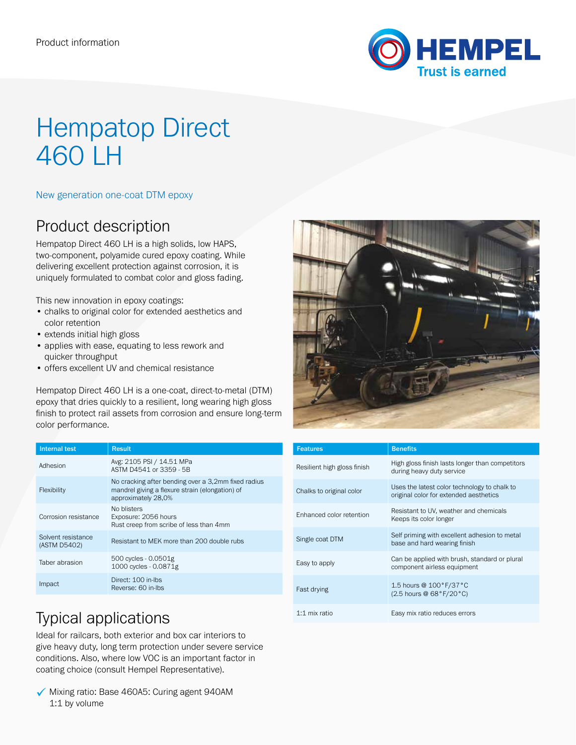

# Hempatop Direct 460 LH

### New generation one-coat DTM epoxy

### Product description

Hempatop Direct 460 LH is a high solids, low HAPS, two-component, polyamide cured epoxy coating. While delivering excellent protection against corrosion, it is uniquely formulated to combat color and gloss fading.

This new innovation in epoxy coatings:

- chalks to original color for extended aesthetics and color retention
- extends initial high gloss
- applies with ease, equating to less rework and quicker throughput
- offers excellent UV and chemical resistance

Hempatop Direct 460 LH is a one-coat, direct-to-metal (DTM) epoxy that dries quickly to a resilient, long wearing high gloss finish to protect rail assets from corrosion and ensure long-term color performance.

| <b>Internal test</b>               | <b>Result</b>                                                                                                                 |
|------------------------------------|-------------------------------------------------------------------------------------------------------------------------------|
| Adhesion                           | Avg: 2105 PSI / 14.51 MPa<br>ASTM D4541 or 3359 - 5B                                                                          |
| Flexibility                        | No cracking after bending over a 3,2mm fixed radius<br>mandrel giving a flexure strain (elongation) of<br>approximately 28,0% |
| Corrosion resistance               | No blisters<br>Exposure: 2056 hours<br>Rust creep from scribe of less than 4mm                                                |
| Solvent resistance<br>(ASTM D5402) | Resistant to MEK more than 200 double rubs                                                                                    |
| Taber abrasion                     | 500 cycles - 0.0501g<br>1000 cycles - 0.0871g                                                                                 |
| Impact                             | Direct: 100 in-lbs<br>Reverse: 60 in-lbs                                                                                      |



| <b>Features</b>             | <b>Benefits</b>                                                                        |
|-----------------------------|----------------------------------------------------------------------------------------|
| Resilient high gloss finish | High gloss finish lasts longer than competitors<br>during heavy duty service           |
| Chalks to original color    | Uses the latest color technology to chalk to<br>original color for extended aesthetics |
| Enhanced color retention    | Resistant to UV, weather and chemicals<br>Keeps its color longer                       |
| Single coat DTM             | Self priming with excellent adhesion to metal<br>base and hard wearing finish          |
| Easy to apply               | Can be applied with brush, standard or plural<br>component airless equipment           |
| Fast drying                 | 1.5 hours @ 100°F/37°C<br>(2.5 hours @ 68°F/20°C)                                      |
| 1:1 mix ratio               | Easy mix ratio reduces errors                                                          |

# Typical applications

Ideal for railcars, both exterior and box car interiors to give heavy duty, long term protection under severe service conditions. Also, where low VOC is an important factor in coating choice (consult Hempel Representative).

 $\checkmark$  Mixing ratio: Base 460A5: Curing agent 940AM 1:1 by volume